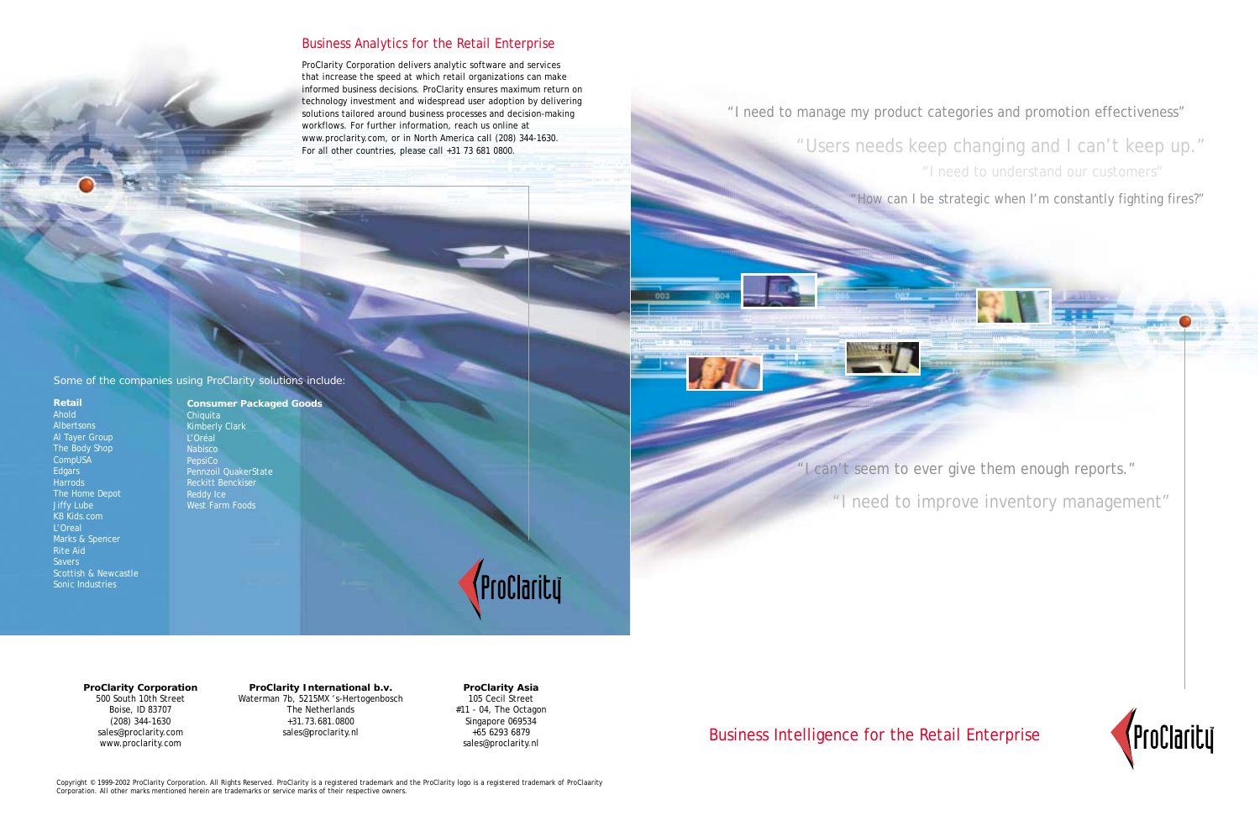"I need to improve inventory management"

Business Intelligence for the Retail Enterprise

# Business Analytics for the Retail Enterprise

# "I need to manage my product categories and promotion effectiveness"

"Users needs keep changing and I can't keep up." "I need to understand our customers"

"How can I be strategic when I'm constantly fighting fires?"

Copyright © 1999-2002 ProClarity Corporation. All Rights Reserved. ProClarity is a registered trademark and the ProClarity logo is a registered trademark of ProClaarity Corporation. All other marks mentioned herein are trademarks or service marks of their respective owners.





ProClarity Corporation delivers analytic software and services that increase the speed at which retail organizations can make informed business decisions. ProClarity ensures maximum return on technology investment and widespread user adoption by delivering solutions tailored around business processes and decision-making workflows. For further information, reach us online at www.proclarity.com, or in North America call (208) 344-1630. For all other countries, please call +31 73 681 0800.

**Retail** Ahold Albertsons Al Tayer Group The Body Shop CompUSA **Edgars Harrods** The Home Depot Jiffy Lube KB Kids.com L'Oreal Marks & Spencer Rite Aid **Savers** Scottish & Newcastle Sonic Industries

**Consumer Packaged Goods Chiquita** Kimberly Clark L'Oréal Nabisco PepsiCo Pennzoil QuakerState Reckitt Benckiser Reddy Ice West Farm Foods

ProClarity

**ProClarity Corporation** 500 South 10th Street Boise, ID 83707 (208) 344-1630 sales@proclarity.com www.proclarity.com

**ProClarity International b.v.** Waterman 7b, 5215MX 's-Hertogenbosch The Netherlands +31.73.681.0800 sales@proclarity.nl

**ProClarity Asia** 105 Cecil Street #11 - 04, The Octagon Singapore 069534 +65 6293 6879 sales@proclarity.nl

Some of the companies using ProClarity solutions include: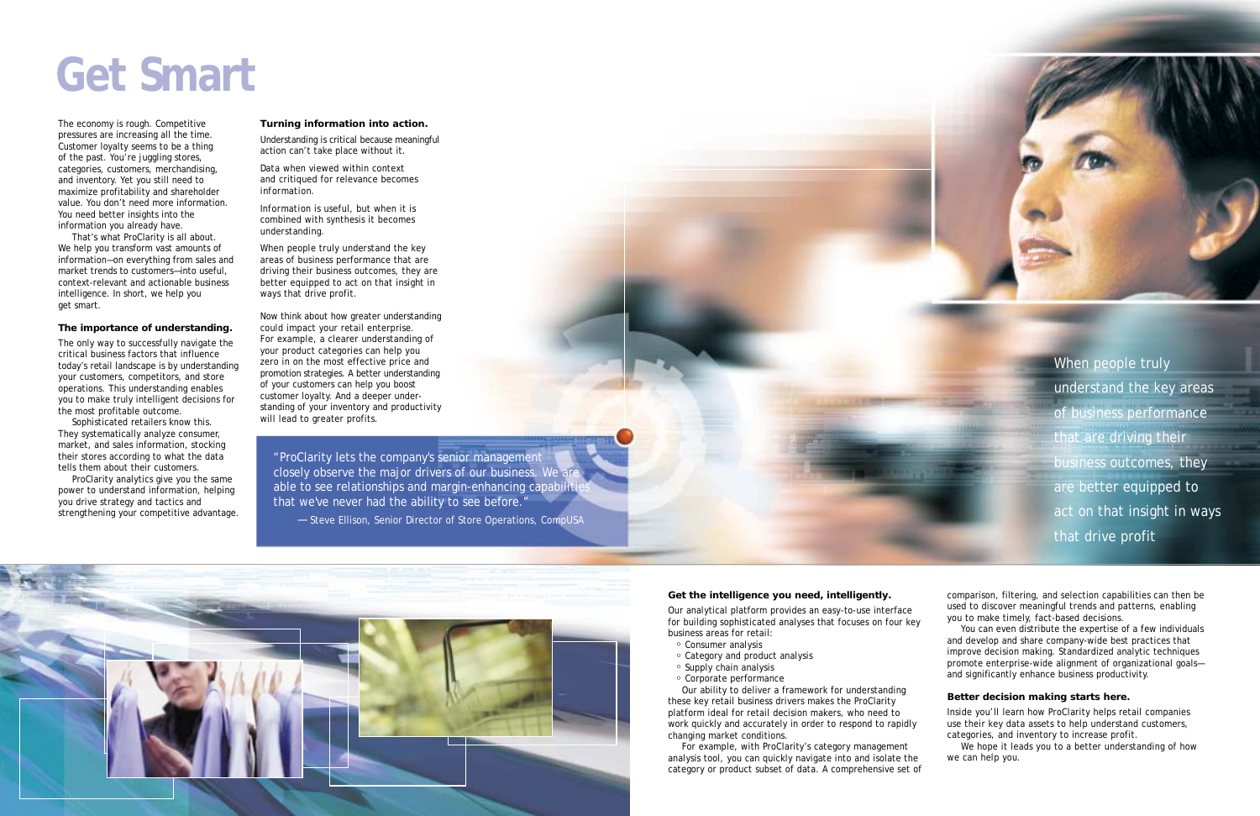The economy is rough. Competitive pressures are increasing all the time. Customer loyalty seems to be a thing of the past. You're juggling stores, categories, customers, merchandising, and inventory. Yet you still need to maximize profitability and shareholder value. You don't need more information. You need better insights into the information you already have.

That's what ProClarity is all about. We help you transform vast amounts of information—on everything from sales and market trends to customers—into useful, context-relevant and actionable business intelligence. In short, we help you get smart.

#### **The importance of understanding.**

The only way to successfully navigate the critical business factors that influence today's retail landscape is by understanding your customers, competitors, and store operations. This understanding enables you to make truly intelligent decisions for the most profitable outcome.

Sophisticated retailers know this. They systematically analyze consumer, market, and sales information, stocking their stores according to what the data tells them about their customers.

ProClarity analytics give you the same power to understand information, helping you drive strategy and tactics and strengthening your competitive advantage.

#### **Turning information into action.**

Understanding is critical because meaningful action can't take place without it.

*Data* when viewed within context and critiqued for relevance becomes *information.* 

*Information* is useful, but when it is combined with synthesis it becomes *understanding.*

When people truly *understand* the key areas of business performance that are driving their business outcomes, they are better equipped to *act* on that insight in ways that drive profit.

Now think about how greater understanding could impact your retail enterprise. For example, a clearer understanding of your product categories can help you zero in on the most effective price and promotion strategies. A better understanding of your customers can help you boost customer loyalty. And a deeper understanding of your inventory and productivity will lead to greater profits.

When people truly understand the key areas of business performance that are driving their business outcomes, they are better equipped to act on that insight in ways that drive profit

#### **Get the intelligence you need, intelligently.**

Our analytical platform provides an easy-to-use interface for building sophisticated analyses that focuses on four key business areas for retail:

- Consumer analysis
- Category and product analysis
- Supply chain analysis
- Corporate performance

Our ability to deliver a framework for understanding these key retail business drivers makes the ProClarity platform ideal for retail decision makers, who need to work quickly and accurately in order to respond to rapidly changing market conditions.

For example, with ProClarity's category management analysis tool, you can quickly navigate into and isolate the category or product subset of data. A comprehensive set of

comparison, filtering, and selection capabilities can then be used to discover meaningful trends and patterns, enabling you to make timely, fact-based decisions.

You can even distribute the expertise of a few individuals and develop and share company-wide best practices that improve decision making. Standardized analytic techniques promote enterprise-wide alignment of organizational goals and significantly enhance business productivity.

#### **Better decision making starts here.**

Inside you'll learn how ProClarity helps retail companies use their key data assets to help understand customers, categories, and inventory to increase profit.

We hope it leads you to a better understanding of how we can help you.

# **Get Smart**

"ProClarity lets the company's senior management closely observe the major drivers of our business. We able to see relationships and margin-enhancing capabiliti that we've never had the ability to see before."

— Steve Ellison, Senior Director of Store Operations, CompUSA

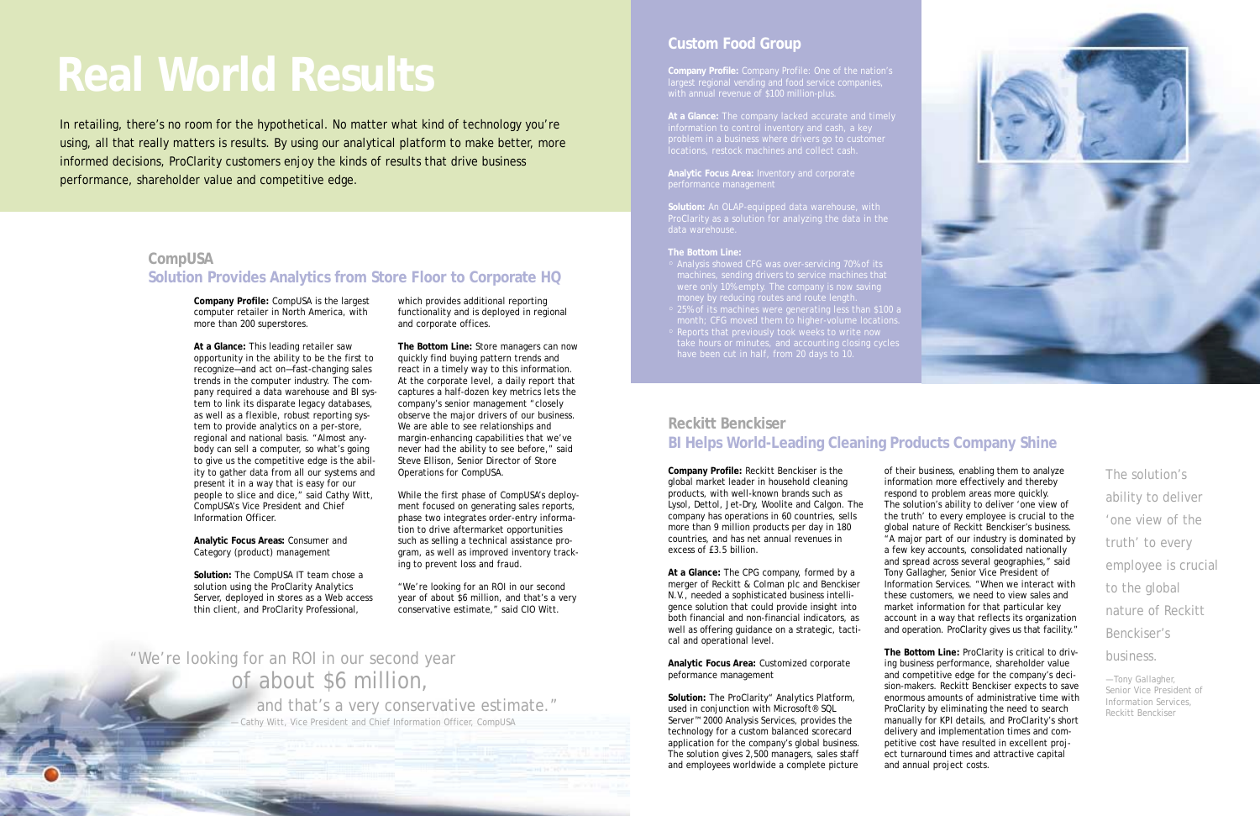**Company Profile:** CompUSA is the largest computer retailer in North America, with more than 200 superstores.

**At a Glance:** This leading retailer saw opportunity in the ability to be the first to recognize—and act on—fast-changing sales trends in the computer industry. The company required a data warehouse and BI system to link its disparate legacy databases, as well as a flexible, robust reporting system to provide analytics on a per-store, regional and national basis. "Almost anybody can sell a computer, so what's going to give us the competitive edge is the ability to gather data from all our systems and present it in a way that is easy for our people to slice and dice," said Cathy Witt, CompUSA's Vice President and Chief Information Officer.

**Analytic Focus Areas:** Consumer and Category (product) management

**Solution:** The CompUSA IT team chose a solution using the ProClarity Analytics Server, deployed in stores as a Web access thin client, and ProClarity Professional,

which provides additional reporting functionality and is deployed in regional and corporate offices.

**The Bottom Line:** Store managers can now quickly find buying pattern trends and react in a timely way to this information. At the corporate level, a daily report that captures a half-dozen key metrics lets the company's senior management "closely observe the major drivers of our business. We are able to see relationships and margin-enhancing capabilities that we've never had the ability to see before," said Steve Ellison, Senior Director of Store Operations for CompUSA.

While the first phase of CompUSA's deployment focused on generating sales reports, phase two integrates order-entry information to drive aftermarket opportunities such as selling a technical assistance program, as well as improved inventory tracking to prevent loss and fraud.

"We're looking for an ROI in our second year of about \$6 million, and that's a very conservative estimate," said CIO Witt.

**Company Profile:** Company Profile: One of the nation's

problem in a business where drivers go to customer

**Analytic Focus Area:** Inventory and corporate performance management

**Solution:** An OLAP-equipped data warehouse, with data warehouse.

#### **The Bottom Line:**

- Analysis showed CFG was over-servicing 70% of its
- 
- 

# **Real World Results**

# "We're looking for an ROI in our second year of about \$6 million,

and that's a very conservative estimate." — Cathy Witt, Vice President and Chief Information Officer, CompUSA

The solution's ability to deliver 'one view of the truth' to every employee is crucial to the global nature of Reckitt Benckiser's business.

— Tony Gallagher, Senior Vice President of Information Services, Reckitt Benckiser

### **CompUSA**

### **Solution Provides Analytics from Store Floor to Corporate HQ**

In retailing, there's no room for the hypothetical. No matter what kind of technology you're using, all that really matters is results. By using our analytical platform to make better, more informed decisions, ProClarity customers enjoy the kinds of results that drive business performance, shareholder value and competitive edge.

# **Custom Food Group**

**Company Profile:** Reckitt Benckiser is the global market leader in household cleaning products, with well-known brands such as Lysol, Dettol, Jet-Dry, Woolite and Calgon. The company has operations in 60 countries, sells more than 9 million products per day in 180 countries, and has net annual revenues in excess of £3.5 billion.

**At a Glance:** The CPG company, formed by a merger of Reckitt & Colman plc and Benckiser N.V., needed a sophisticated business intelligence solution that could provide insight into both financial and non-financial indicators, as well as offering guidance on a strategic, tactical and operational level.

**Analytic Focus Area:** Customized corporate peformance management

**Solution:** The ProClarity" Analytics Platform, used in conjunction with Microsoft® SQL Server™ 2000 Analysis Services, provides the technology for a custom balanced scorecard application for the company's global business. The solution gives 2,500 managers, sales staff and employees worldwide a complete picture

of their business, enabling them to analyze information more effectively and thereby respond to problem areas more quickly. The solution's ability to deliver 'one view of the truth' to every employee is crucial to the global nature of Reckitt Benckiser's business. "A major part of our industry is dominated by a few key accounts, consolidated nationally and spread across several geographies," said Tony Gallagher, Senior Vice President of Information Services. "When we interact with these customers, we need to view sales and market information for that particular key account in a way that reflects its organization and operation. ProClarity gives us that facility."

**The Bottom Line:** ProClarity is critical to driving business performance, shareholder value and competitive edge for the company's decision-makers. Reckitt Benckiser expects to save enormous amounts of administrative time with ProClarity by eliminating the need to search manually for KPI details, and ProClarity's short delivery and implementation times and competitive cost have resulted in excellent project turnaround times and attractive capital and annual project costs.



# **Reckitt Benckiser BI Helps World-Leading Cleaning Products Company Shine**